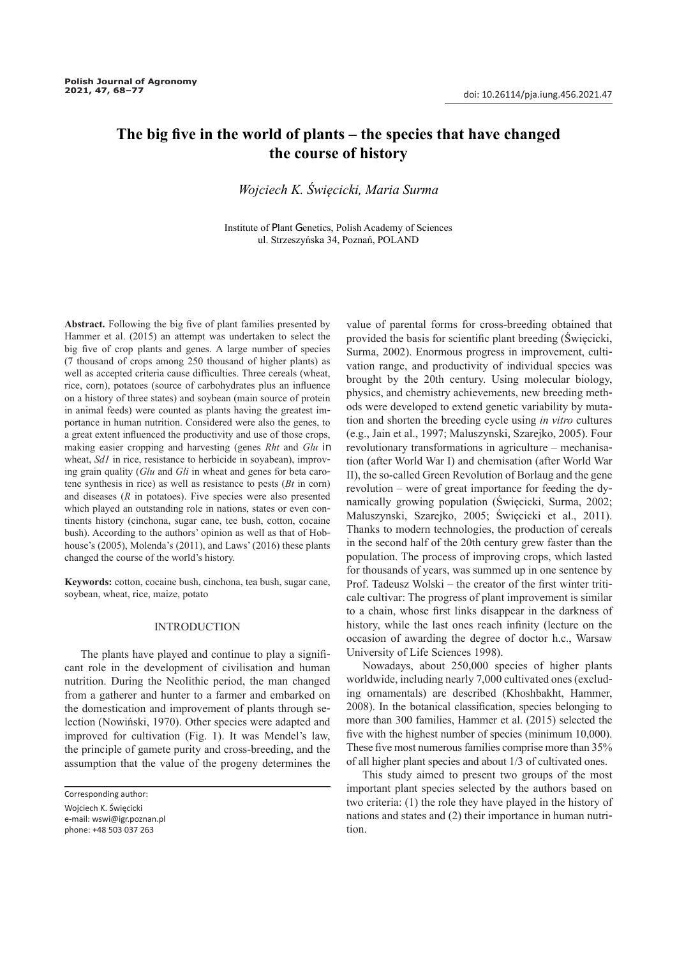# **The big five in the world of plants – the species that have changed the course of history**

## *Wojciech K. Święcicki, Maria Surma*

Institute of Plant Genetics, Polish Academy of Sciences ul. Strzeszyńska 34, Poznań, POLAND

**Abstract.** Following the big five of plant families presented by Hammer et al. (2015) an attempt was undertaken to select the big five of crop plants and genes. A large number of species (7 thousand of crops among 250 thousand of higher plants) as well as accepted criteria cause difficulties. Three cereals (wheat, rice, corn), potatoes (source of carbohydrates plus an influence on a history of three states) and soybean (main source of protein in animal feeds) were counted as plants having the greatest importance in human nutrition. Considered were also the genes, to a great extent influenced the productivity and use of those crops, making easier cropping and harvesting (genes *Rht* and *Glu* in wheat, *Sd1* in rice, resistance to herbicide in soyabean), improving grain quality (*Glu* and *Gli* in wheat and genes for beta carotene synthesis in rice) as well as resistance to pests (*Bt* in corn) and diseases (*R* in potatoes). Five species were also presented which played an outstanding role in nations, states or even continents history (cinchona, sugar cane, tee bush, cotton, cocaine bush). According to the authors' opinion as well as that of Hobhouse's (2005), Molenda's (2011), and Laws' (2016) these plants changed the course of the world's history.

**Keywords:** cotton, cocaine bush, cinchona, tea bush, sugar cane, soybean, wheat, rice, maize, potato

## INTRODUCTION

The plants have played and continue to play a significant role in the development of civilisation and human nutrition. During the Neolithic period, the man changed from a gatherer and hunter to a farmer and embarked on the domestication and improvement of plants through selection (Nowiński, 1970). Other species were adapted and improved for cultivation (Fig. 1). It was Mendel's law, the principle of gamete purity and cross-breeding, and the assumption that the value of the progeny determines the

value of parental forms for cross-breeding obtained that provided the basis for scientific plant breeding (Święcicki, Surma, 2002). Enormous progress in improvement, cultivation range, and productivity of individual species was brought by the 20th century. Using molecular biology, physics, and chemistry achievements, new breeding methods were developed to extend genetic variability by mutation and shorten the breeding cycle using *in vitro* cultures (e.g., Jain et al., 1997; Maluszynski, Szarejko, 2005). Four revolutionary transformations in agriculture – mechanisation (after World War I) and chemisation (after World War II), the so-called Green Revolution of Borlaug and the gene revolution – were of great importance for feeding the dynamically growing population (Święcicki, Surma, 2002; Maluszynski, Szarejko, 2005; Święcicki et al., 2011). Thanks to modern technologies, the production of cereals in the second half of the 20th century grew faster than the population. The process of improving crops, which lasted for thousands of years, was summed up in one sentence by Prof. Tadeusz Wolski – the creator of the first winter triticale cultivar: The progress of plant improvement is similar to a chain, whose first links disappear in the darkness of history, while the last ones reach infinity (lecture on the occasion of awarding the degree of doctor h.c., Warsaw University of Life Sciences 1998).

Nowadays, about 250,000 species of higher plants worldwide, including nearly 7,000 cultivated ones (excluding ornamentals) are described (Khoshbakht, Hammer, 2008). In the botanical classification, species belonging to more than 300 families, Hammer et al. (2015) selected the five with the highest number of species (minimum 10,000). These five most numerous families comprise more than 35% of all higher plant species and about 1/3 of cultivated ones.

This study aimed to present two groups of the most important plant species selected by the authors based on two criteria: (1) the role they have played in the history of nations and states and (2) their importance in human nutrition.

Corresponding author:

Wojciech K. Święcicki e-mail: wswi@igr.poznan.pl phone: +48 503 037 263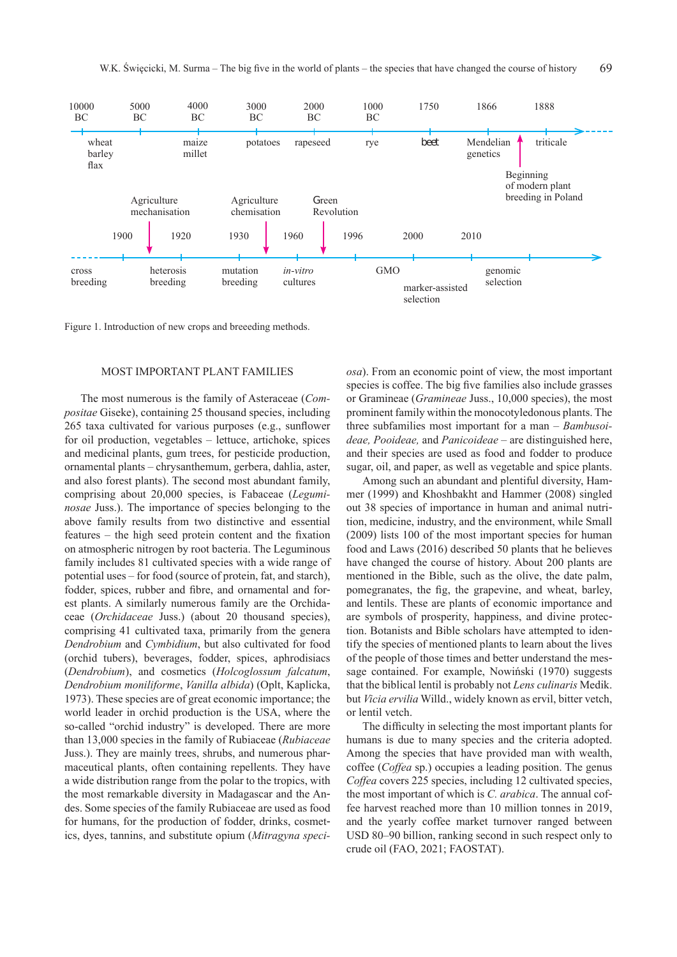

Figure 1. Introduction of new crops and breeeding methods.

### MOST IMPORTANT PLANT FAMILIES

The most numerous is the family of Asteraceae (*Compositae* Giseke), containing 25 thousand species, including 265 taxa cultivated for various purposes (e.g., sunflower for oil production, vegetables – lettuce, artichoke, spices and medicinal plants, gum trees, for pesticide production, ornamental plants – chrysanthemum, gerbera, dahlia, aster, and also forest plants). The second most abundant family, comprising about 20,000 species, is Fabaceae (*Leguminosae* Juss.). The importance of species belonging to the above family results from two distinctive and essential features – the high seed protein content and the fixation on atmospheric nitrogen by root bacteria. The Leguminous family includes 81 cultivated species with a wide range of potential uses – for food (source of protein, fat, and starch), fodder, spices, rubber and fibre, and ornamental and forest plants. A similarly numerous family are the Orchidaceae (*Orchidaceae* Juss.) (about 20 thousand species), comprising 41 cultivated taxa, primarily from the genera *Dendrobium* and *Cymbidium*, but also cultivated for food (orchid tubers), beverages, fodder, spices, aphrodisiacs (*Dendrobium*), and cosmetics (*Holcoglossum falcatum*, *Dendrobium moniliforme*, *Vanilla albida*) (Oplt, Kaplicka, 1973). These species are of great economic importance; the world leader in orchid production is the USA, where the so-called "orchid industry" is developed. There are more than 13,000 species in the family of Rubiaceae (*Rubiaceae*  Juss.). They are mainly trees, shrubs, and numerous pharmaceutical plants, often containing repellents. They have a wide distribution range from the polar to the tropics, with the most remarkable diversity in Madagascar and the Andes. Some species of the family Rubiaceae are used as food for humans, for the production of fodder, drinks, cosmetics, dyes, tannins, and substitute opium (*Mitragyna speci-* *osa*). From an economic point of view, the most important species is coffee. The big five families also include grasses or Gramineae (*Gramineae* Juss., 10,000 species), the most prominent family within the monocotyledonous plants. The three subfamilies most important for a man – *Bambusoideae, Pooideae,* and *Panicoideae* – are distinguished here, and their species are used as food and fodder to produce sugar, oil, and paper, as well as vegetable and spice plants.

Among such an abundant and plentiful diversity, Hammer (1999) and Khoshbakht and Hammer (2008) singled out 38 species of importance in human and animal nutrition, medicine, industry, and the environment, while Small (2009) lists 100 of the most important species for human food and Laws (2016) described 50 plants that he believes have changed the course of history. About 200 plants are mentioned in the Bible, such as the olive, the date palm, pomegranates, the fig, the grapevine, and wheat, barley, and lentils. These are plants of economic importance and are symbols of prosperity, happiness, and divine protection. Botanists and Bible scholars have attempted to identify the species of mentioned plants to learn about the lives of the people of those times and better understand the message contained. For example, Nowiński (1970) suggests that the biblical lentil is probably not *Lens culinaris* Medik. but *Vicia ervilia* Willd., widely known as ervil, bitter vetch, or lentil vetch.

The difficulty in selecting the most important plants for humans is due to many species and the criteria adopted. Among the species that have provided man with wealth, coffee (*Coffea* sp.) occupies a leading position. The genus *Coffea* covers 225 species, including 12 cultivated species, the most important of which is *C. arabica*. The annual coffee harvest reached more than 10 million tonnes in 2019, and the yearly coffee market turnover ranged between USD 80–90 billion, ranking second in such respect only to crude oil (FAO, 2021; FAOSTAT).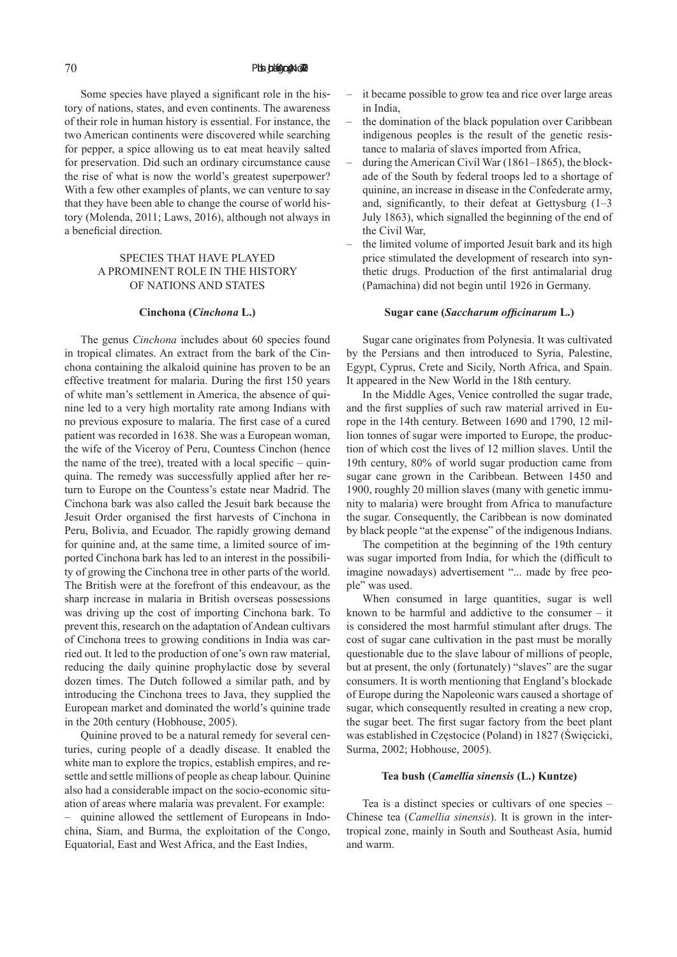Some species have played a significant role in the history of nations, states, and even continents. The awareness of their role in human history is essential. For instance, the two American continents were discovered while searching for pepper, a spice allowing us to eat meat heavily salted for preservation. Did such an ordinary circumstance cause the rise of what is now the world's greatest superpower? With a few other examples of plants, we can venture to say that they have been able to change the course of world history (Molenda, 2011; Laws, 2016), although not always in a beneficial direction.

## SPECIES THAT HAVE PLAYED A PROMINENT ROLE IN THE HISTORY OF NATIONS AND STATES

#### **Cinchona (***Cinchona* **L.)**

The genus *Cinchona* includes about 60 species found in tropical climates. An extract from the bark of the Cinchona containing the alkaloid quinine has proven to be an effective treatment for malaria. During the first 150 years of white man's settlement in America, the absence of quinine led to a very high mortality rate among Indians with no previous exposure to malaria. The first case of a cured patient was recorded in 1638. She was a European woman, the wife of the Viceroy of Peru, Countess Cinchon (hence the name of the tree), treated with a local specific – quinquina. The remedy was successfully applied after her return to Europe on the Countess's estate near Madrid. The Cinchona bark was also called the Jesuit bark because the Jesuit Order organised the first harvests of Cinchona in Peru, Bolivia, and Ecuador. The rapidly growing demand for quinine and, at the same time, a limited source of imported Cinchona bark has led to an interest in the possibility of growing the Cinchona tree in other parts of the world. The British were at the forefront of this endeavour, as the sharp increase in malaria in British overseas possessions was driving up the cost of importing Cinchona bark. To prevent this, research on the adaptation of Andean cultivars of Cinchona trees to growing conditions in India was carried out. It led to the production of one's own raw material, reducing the daily quinine prophylactic dose by several dozen times. The Dutch followed a similar path, and by introducing the Cinchona trees to Java, they supplied the European market and dominated the world's quinine trade in the 20th century (Hobhouse, 2005).

Quinine proved to be a natural remedy for several centuries, curing people of a deadly disease. It enabled the white man to explore the tropics, establish empires, and resettle and settle millions of people as cheap labour. Quinine also had a considerable impact on the socio-economic situation of areas where malaria was prevalent. For example:

– quinine allowed the settlement of Europeans in Indochina, Siam, and Burma, the exploitation of the Congo, Equatorial, East and West Africa, and the East Indies,

- it became possible to grow tea and rice over large areas in India,
- the domination of the black population over Caribbean indigenous peoples is the result of the genetic resistance to malaria of slaves imported from Africa,
- during the American Civil War (1861–1865), the blockade of the South by federal troops led to a shortage of quinine, an increase in disease in the Confederate army, and, significantly, to their defeat at Gettysburg  $(1-3)$ July 1863), which signalled the beginning of the end of the Civil War,
- the limited volume of imported Jesuit bark and its high price stimulated the development of research into synthetic drugs. Production of the first antimalarial drug (Pamachina) did not begin until 1926 in Germany.

#### **Sugar cane (***Saccharum officinarum* **L.)**

Sugar cane originates from Polynesia. It was cultivated by the Persians and then introduced to Syria, Palestine, Egypt, Cyprus, Crete and Sicily, North Africa, and Spain. It appeared in the New World in the 18th century.

In the Middle Ages, Venice controlled the sugar trade, and the first supplies of such raw material arrived in Europe in the 14th century. Between 1690 and 1790, 12 million tonnes of sugar were imported to Europe, the production of which cost the lives of 12 million slaves. Until the 19th century, 80% of world sugar production came from sugar cane grown in the Caribbean. Between 1450 and 1900, roughly 20 million slaves (many with genetic immunity to malaria) were brought from Africa to manufacture the sugar. Consequently, the Caribbean is now dominated by black people "at the expense" of the indigenous Indians.

The competition at the beginning of the 19th century was sugar imported from India, for which the (difficult to imagine nowadays) advertisement "... made by free people" was used.

When consumed in large quantities, sugar is well known to be harmful and addictive to the consumer – it is considered the most harmful stimulant after drugs. The cost of sugar cane cultivation in the past must be morally questionable due to the slave labour of millions of people, but at present, the only (fortunately) "slaves" are the sugar consumers. It is worth mentioning that England's blockade of Europe during the Napoleonic wars caused a shortage of sugar, which consequently resulted in creating a new crop, the sugar beet. The first sugar factory from the beet plant was established in Częstocice (Poland) in 1827 (Święcicki, Surma, 2002; Hobhouse, 2005).

#### **Tea bush (***Camellia sinensis* **(L.) Kuntze)**

Tea is a distinct species or cultivars of one species – Chinese tea (*Camellia sinensis*). It is grown in the intertropical zone, mainly in South and Southeast Asia, humid and warm.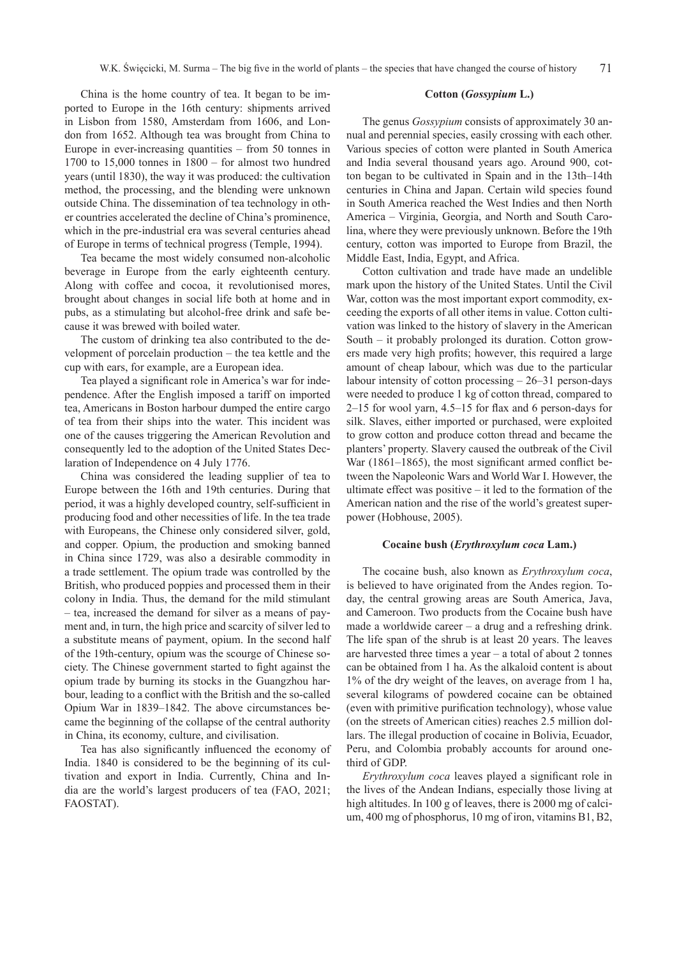China is the home country of tea. It began to be imported to Europe in the 16th century: shipments arrived in Lisbon from 1580, Amsterdam from 1606, and London from 1652. Although tea was brought from China to Europe in ever-increasing quantities – from 50 tonnes in 1700 to 15,000 tonnes in 1800 – for almost two hundred years (until 1830), the way it was produced: the cultivation method, the processing, and the blending were unknown outside China. The dissemination of tea technology in other countries accelerated the decline of China's prominence, which in the pre-industrial era was several centuries ahead of Europe in terms of technical progress (Temple, 1994).

Tea became the most widely consumed non-alcoholic beverage in Europe from the early eighteenth century. Along with coffee and cocoa, it revolutionised mores, brought about changes in social life both at home and in pubs, as a stimulating but alcohol-free drink and safe because it was brewed with boiled water.

The custom of drinking tea also contributed to the development of porcelain production – the tea kettle and the cup with ears, for example, are a European idea.

Tea played a significant role in America's war for independence. After the English imposed a tariff on imported tea, Americans in Boston harbour dumped the entire cargo of tea from their ships into the water. This incident was one of the causes triggering the American Revolution and consequently led to the adoption of the United States Declaration of Independence on 4 July 1776.

China was considered the leading supplier of tea to Europe between the 16th and 19th centuries. During that period, it was a highly developed country, self-sufficient in producing food and other necessities of life. In the tea trade with Europeans, the Chinese only considered silver, gold, and copper. Opium, the production and smoking banned in China since 1729, was also a desirable commodity in a trade settlement. The opium trade was controlled by the British, who produced poppies and processed them in their colony in India. Thus, the demand for the mild stimulant – tea, increased the demand for silver as a means of payment and, in turn, the high price and scarcity of silver led to a substitute means of payment, opium. In the second half of the 19th-century, opium was the scourge of Chinese society. The Chinese government started to fight against the opium trade by burning its stocks in the Guangzhou harbour, leading to a conflict with the British and the so-called Opium War in 1839–1842. The above circumstances became the beginning of the collapse of the central authority in China, its economy, culture, and civilisation.

Tea has also significantly influenced the economy of India. 1840 is considered to be the beginning of its cultivation and export in India. Currently, China and India are the world's largest producers of tea (FAO, 2021; FAOSTAT).

#### **Cotton (***Gossypium* **L.)**

The genus *Gossypium* consists of approximately 30 annual and perennial species, easily crossing with each other. Various species of cotton were planted in South America and India several thousand years ago. Around 900, cotton began to be cultivated in Spain and in the 13th–14th centuries in China and Japan. Certain wild species found in South America reached the West Indies and then North America – Virginia, Georgia, and North and South Carolina, where they were previously unknown. Before the 19th century, cotton was imported to Europe from Brazil, the Middle East, India, Egypt, and Africa.

Cotton cultivation and trade have made an undelible mark upon the history of the United States. Until the Civil War, cotton was the most important export commodity, exceeding the exports of all other items in value. Cotton cultivation was linked to the history of slavery in the American South – it probably prolonged its duration. Cotton growers made very high profits; however, this required a large amount of cheap labour, which was due to the particular labour intensity of cotton processing – 26–31 person-days were needed to produce 1 kg of cotton thread, compared to 2–15 for wool yarn, 4.5–15 for flax and 6 person-days for silk. Slaves, either imported or purchased, were exploited to grow cotton and produce cotton thread and became the planters' property. Slavery caused the outbreak of the Civil War (1861–1865), the most significant armed conflict between the Napoleonic Wars and World War I. However, the ultimate effect was positive – it led to the formation of the American nation and the rise of the world's greatest superpower (Hobhouse, 2005).

#### **Cocaine bush (***Erythroxylum coca* **Lam.)**

The cocaine bush, also known as *Erythroxylum coca*, is believed to have originated from the Andes region. Today, the central growing areas are South America, Java, and Cameroon. Two products from the Cocaine bush have made a worldwide career – a drug and a refreshing drink. The life span of the shrub is at least 20 years. The leaves are harvested three times a year – a total of about 2 tonnes can be obtained from 1 ha. As the alkaloid content is about 1% of the dry weight of the leaves, on average from 1 ha, several kilograms of powdered cocaine can be obtained (even with primitive purification technology), whose value (on the streets of American cities) reaches 2.5 million dollars. The illegal production of cocaine in Bolivia, Ecuador, Peru, and Colombia probably accounts for around onethird of GDP.

*Erythroxylum coca* leaves played a significant role in the lives of the Andean Indians, especially those living at high altitudes. In 100 g of leaves, there is 2000 mg of calcium, 400 mg of phosphorus, 10 mg of iron, vitamins B1, B2,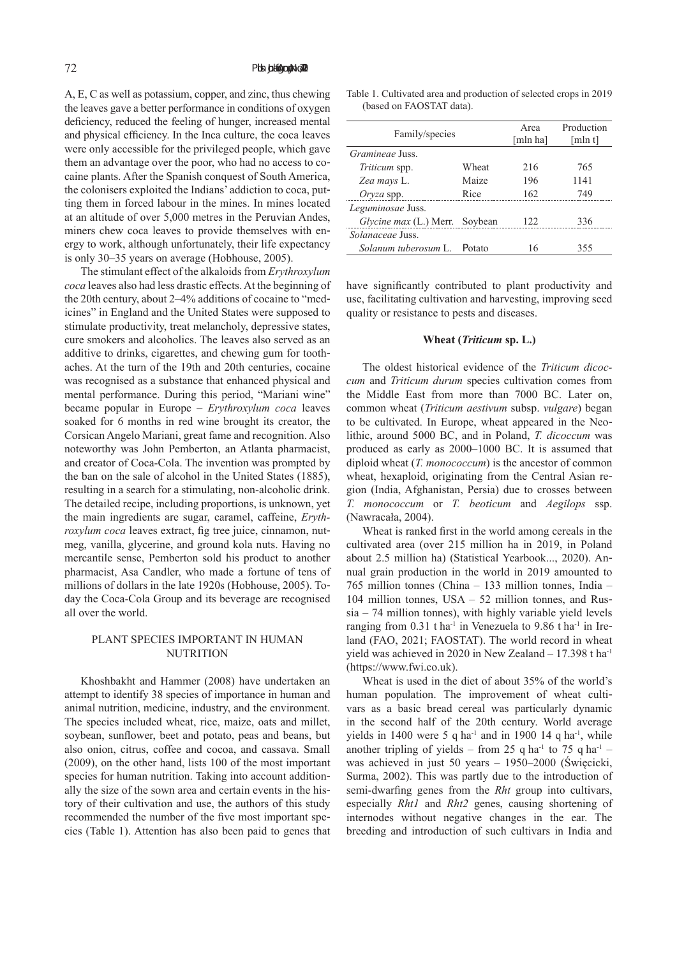A, E, C as well as potassium, copper, and zinc, thus chewing the leaves gave a better performance in conditions of oxygen deficiency, reduced the feeling of hunger, increased mental and physical efficiency. In the Inca culture, the coca leaves were only accessible for the privileged people, which gave them an advantage over the poor, who had no access to cocaine plants. After the Spanish conquest of South America, the colonisers exploited the Indians' addiction to coca, putting them in forced labour in the mines. In mines located at an altitude of over 5,000 metres in the Peruvian Andes, miners chew coca leaves to provide themselves with energy to work, although unfortunately, their life expectancy is only 30–35 years on average (Hobhouse, 2005).

The stimulant effect of the alkaloids from *Erythroxylum coca* leaves also had less drastic effects. At the beginning of the 20th century, about 2–4% additions of cocaine to "medicines" in England and the United States were supposed to stimulate productivity, treat melancholy, depressive states, cure smokers and alcoholics. The leaves also served as an additive to drinks, cigarettes, and chewing gum for toothaches. At the turn of the 19th and 20th centuries, cocaine was recognised as a substance that enhanced physical and mental performance. During this period, "Mariani wine" became popular in Europe – *Erythroxylum coca* leaves soaked for 6 months in red wine brought its creator, the Corsican Angelo Mariani, great fame and recognition. Also noteworthy was John Pemberton, an Atlanta pharmacist, and creator of Coca-Cola. The invention was prompted by the ban on the sale of alcohol in the United States (1885), resulting in a search for a stimulating, non-alcoholic drink. The detailed recipe, including proportions, is unknown, yet the main ingredients are sugar, caramel, caffeine, *Erythroxylum coca* leaves extract, fig tree juice, cinnamon, nutmeg, vanilla, glycerine, and ground kola nuts. Having no mercantile sense, Pemberton sold his product to another pharmacist, Asa Candler, who made a fortune of tens of millions of dollars in the late 1920s (Hobhouse, 2005). Today the Coca-Cola Group and its beverage are recognised all over the world.

## PLANT SPECIES IMPORTANT IN HUMAN **NUTRITION**

Khoshbakht and Hammer (2008) have undertaken an attempt to identify 38 species of importance in human and animal nutrition, medicine, industry, and the environment. The species included wheat, rice, maize, oats and millet, soybean, sunflower, beet and potato, peas and beans, but also onion, citrus, coffee and cocoa, and cassava. Small (2009), on the other hand, lists 100 of the most important species for human nutrition. Taking into account additionally the size of the sown area and certain events in the history of their cultivation and use, the authors of this study recommended the number of the five most important species (Table 1). Attention has also been paid to genes that

Table 1. Cultivated area and production of selected crops in 2019 (based on FAOSTAT data).

| Family/species                 |        | Area<br>[mln ha] | Production<br>[mln t] |
|--------------------------------|--------|------------------|-----------------------|
| <i>Gramineae Juss.</i>         |        |                  |                       |
| <i>Triticum</i> spp.           | Wheat  | 216              | 765                   |
| Zea mays L.                    | Maize  | 196              | 1141                  |
| $Oryza$ spp.                   | Rice   | 162              | 749                   |
| Leguminosae Juss.              |        |                  |                       |
| Glycine max (L.) Merr. Soybean |        | 122              | 336                   |
| <i>Solanaceae Juss.</i>        |        |                  |                       |
| Solanum tuberosum L.           | Potato | 16               | 355                   |

have significantly contributed to plant productivity and use, facilitating cultivation and harvesting, improving seed quality or resistance to pests and diseases.

#### **Wheat (***Triticum* **sp. L.)**

The oldest historical evidence of the *Triticum dicoccum* and *Triticum durum* species cultivation comes from the Middle East from more than 7000 BC. Later on, common wheat (*Triticum aestivum* subsp. *vulgare*) began to be cultivated. In Europe, wheat appeared in the Neolithic, around 5000 BC, and in Poland, *T. dicoccum* was produced as early as 2000–1000 BC. It is assumed that diploid wheat (*T. monococcum*) is the ancestor of common wheat, hexaploid, originating from the Central Asian region (India, Afghanistan, Persia) due to crosses between *T. monococcum* or *T. beoticum* and *Aegilops* ssp. (Nawracała, 2004).

Wheat is ranked first in the world among cereals in the cultivated area (over 215 million ha in 2019, in Poland about 2.5 million ha) (Statistical Yearbook..., 2020). Annual grain production in the world in 2019 amounted to 765 million tonnes (China – 133 million tonnes, India – 104 million tonnes, USA – 52 million tonnes, and Russia – 74 million tonnes), with highly variable yield levels ranging from 0.31 t ha<sup>-1</sup> in Venezuela to 9.86 t ha<sup>-1</sup> in Ireland (FAO, 2021; FAOSTAT). The world record in wheat yield was achieved in 2020 in New Zealand - 17.398 t ha<sup>-1</sup> (https://www.fwi.co.uk).

Wheat is used in the diet of about 35% of the world's human population. The improvement of wheat cultivars as a basic bread cereal was particularly dynamic in the second half of the 20th century. World average yields in 1400 were 5 q ha<sup>-1</sup> and in 1900 14 q ha<sup>-1</sup>, while another tripling of yields – from 25 q ha<sup>-1</sup> to 75 q ha<sup>-1</sup> – was achieved in just 50 years – 1950–2000 (Święcicki, Surma, 2002). This was partly due to the introduction of semi-dwarfing genes from the *Rht* group into cultivars, especially *Rht1* and *Rht2* genes, causing shortening of internodes without negative changes in the ear. The breeding and introduction of such cultivars in India and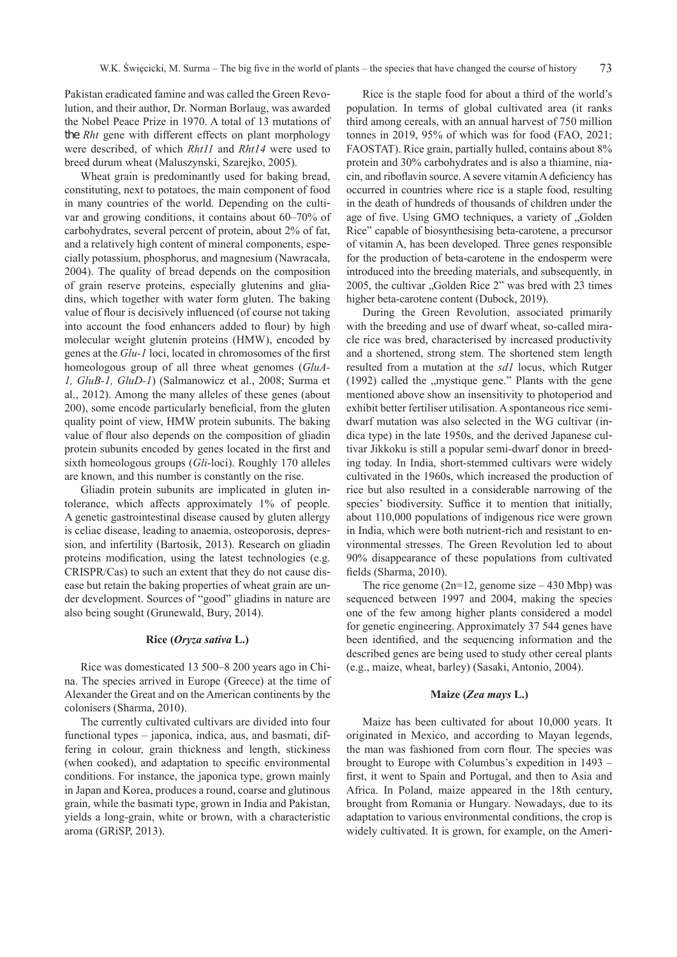Pakistan eradicated famine and was called the Green Revolution, and their author, Dr. Norman Borlaug, was awarded the Nobel Peace Prize in 1970. A total of 13 mutations of the *Rht* gene with different effects on plant morphology were described, of which *Rht11* and *Rht14* were used to breed durum wheat (Maluszynski, Szarejko, 2005).

Wheat grain is predominantly used for baking bread, constituting, next to potatoes, the main component of food in many countries of the world. Depending on the cultivar and growing conditions, it contains about 60–70% of carbohydrates, several percent of protein, about 2% of fat, and a relatively high content of mineral components, especially potassium, phosphorus, and magnesium (Nawracała, 2004). The quality of bread depends on the composition of grain reserve proteins, especially glutenins and gliadins, which together with water form gluten. The baking value of flour is decisively influenced (of course not taking into account the food enhancers added to flour) by high molecular weight glutenin proteins (HMW), encoded by genes at the *Glu-1* loci, located in chromosomes of the first homeologous group of all three wheat genomes (*GluA-1, GluB-1, GluD-1*) (Salmanowicz et al., 2008; Surma et al., 2012). Among the many alleles of these genes (about 200), some encode particularly beneficial, from the gluten quality point of view, HMW protein subunits. The baking value of flour also depends on the composition of gliadin protein subunits encoded by genes located in the first and sixth homeologous groups (*Gli*-loci). Roughly 170 alleles are known, and this number is constantly on the rise.

Gliadin protein subunits are implicated in gluten intolerance, which affects approximately 1% of people. A genetic gastrointestinal disease caused by gluten allergy is celiac disease, leading to anaemia, osteoporosis, depression, and infertility (Bartosik, 2013). Research on gliadin proteins modification, using the latest technologies (e.g. CRISPR/Cas) to such an extent that they do not cause disease but retain the baking properties of wheat grain are under development. Sources of "good" gliadins in nature are also being sought (Grunewald, Bury, 2014).

#### **Rice (***Oryza sativa* **L.)**

Rice was domesticated 13 500–8 200 years ago in China. The species arrived in Europe (Greece) at the time of Alexander the Great and on the American continents by the colonisers (Sharma, 2010).

The currently cultivated cultivars are divided into four functional types – japonica, indica, aus, and basmati, differing in colour, grain thickness and length, stickiness (when cooked), and adaptation to specific environmental conditions. For instance, the japonica type, grown mainly in Japan and Korea, produces a round, coarse and glutinous grain, while the basmati type, grown in India and Pakistan, yields a long-grain, white or brown, with a characteristic aroma (GRiSP, 2013).

Rice is the staple food for about a third of the world's population. In terms of global cultivated area (it ranks third among cereals, with an annual harvest of 750 million tonnes in 2019, 95% of which was for food (FAO, 2021; FAOSTAT). Rice grain, partially hulled, contains about 8% protein and 30% carbohydrates and is also a thiamine, niacin, and riboflavin source. A severe vitamin A deficiency has occurred in countries where rice is a staple food, resulting in the death of hundreds of thousands of children under the age of five. Using GMO techniques, a variety of "Golden Rice" capable of biosynthesising beta-carotene, a precursor of vitamin A, has been developed. Three genes responsible for the production of beta-carotene in the endosperm were introduced into the breeding materials, and subsequently, in 2005, the cultivar "Golden Rice 2" was bred with 23 times higher beta-carotene content (Dubock, 2019).

During the Green Revolution, associated primarily with the breeding and use of dwarf wheat, so-called miracle rice was bred, characterised by increased productivity and a shortened, strong stem. The shortened stem length resulted from a mutation at the *sd1* locus, which Rutger  $(1992)$  called the "mystique gene." Plants with the gene mentioned above show an insensitivity to photoperiod and exhibit better fertiliser utilisation. A spontaneous rice semidwarf mutation was also selected in the WG cultivar (indica type) in the late 1950s, and the derived Japanese cultivar Jikkoku is still a popular semi-dwarf donor in breeding today. In India, short-stemmed cultivars were widely cultivated in the 1960s, which increased the production of rice but also resulted in a considerable narrowing of the species' biodiversity. Suffice it to mention that initially, about 110,000 populations of indigenous rice were grown in India, which were both nutrient-rich and resistant to environmental stresses. The Green Revolution led to about 90% disappearance of these populations from cultivated fields (Sharma, 2010).

The rice genome  $(2n=12)$ , genome size  $-430$  Mbp) was sequenced between 1997 and 2004, making the species one of the few among higher plants considered a model for genetic engineering. Approximately 37 544 genes have been identified, and the sequencing information and the described genes are being used to study other cereal plants (e.g., maize, wheat, barley) (Sasaki, Antonio, 2004).

#### **Maize (***Zea mays* **L.)**

Maize has been cultivated for about 10,000 years. It originated in Mexico, and according to Mayan legends, the man was fashioned from corn flour. The species was brought to Europe with Columbus's expedition in 1493 – first, it went to Spain and Portugal, and then to Asia and Africa. In Poland, maize appeared in the 18th century, brought from Romania or Hungary. Nowadays, due to its adaptation to various environmental conditions, the crop is widely cultivated. It is grown, for example, on the Ameri-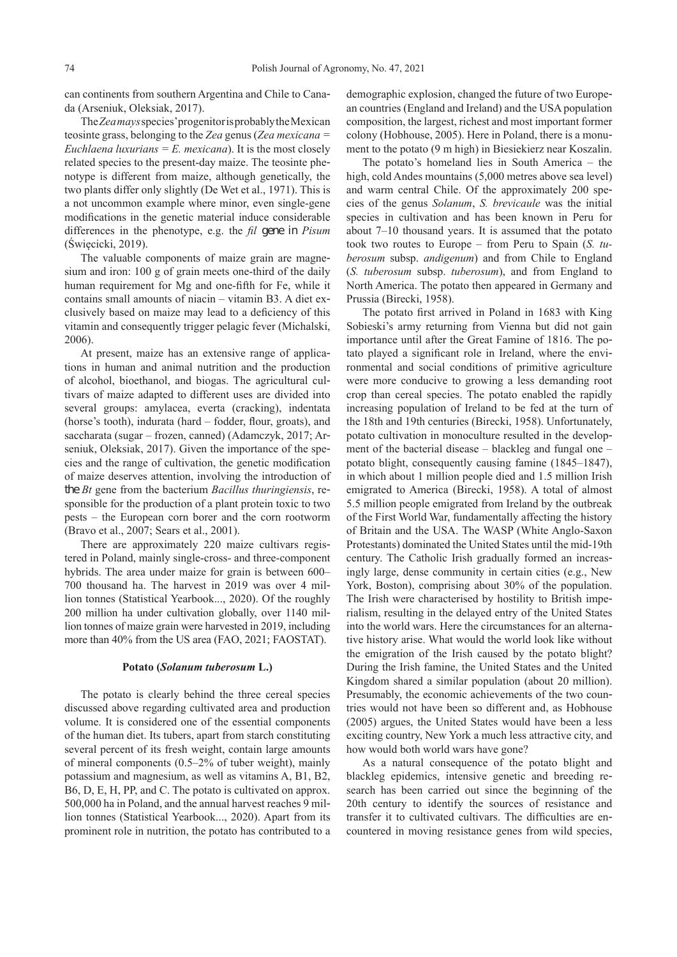can continents from southern Argentina and Chile to Canada (Arseniuk, Oleksiak, 2017).

The*Zea mays*species' progenitor is probably the Mexican teosinte grass, belonging to the *Zea* genus (*Zea mexicana = Euchlaena luxurians = E. mexicana*). It is the most closely related species to the present-day maize. The teosinte phenotype is different from maize, although genetically, the two plants differ only slightly (De Wet et al., 1971). This is a not uncommon example where minor, even single-gene modifications in the genetic material induce considerable differences in the phenotype, e.g. the *fil* gene in *Pisum* (Święcicki, 2019).

The valuable components of maize grain are magnesium and iron: 100 g of grain meets one-third of the daily human requirement for Mg and one-fifth for Fe, while it contains small amounts of niacin – vitamin B3. A diet exclusively based on maize may lead to a deficiency of this vitamin and consequently trigger pelagic fever (Michalski, 2006).

At present, maize has an extensive range of applications in human and animal nutrition and the production of alcohol, bioethanol, and biogas. The agricultural cultivars of maize adapted to different uses are divided into several groups: amylacea, everta (cracking), indentata (horse's tooth), indurata (hard – fodder, flour, groats), and saccharata (sugar – frozen, canned) (Adamczyk, 2017; Arseniuk, Oleksiak, 2017). Given the importance of the species and the range of cultivation, the genetic modification of maize deserves attention, involving the introduction of the *Bt* gene from the bacterium *Bacillus thuringiensis*, responsible for the production of a plant protein toxic to two pests – the European corn borer and the corn rootworm (Bravo et al., 2007; Sears et al., 2001).

There are approximately 220 maize cultivars registered in Poland, mainly single-cross- and three-component hybrids. The area under maize for grain is between 600– 700 thousand ha. The harvest in 2019 was over 4 million tonnes (Statistical Yearbook..., 2020). Of the roughly 200 million ha under cultivation globally, over 1140 million tonnes of maize grain were harvested in 2019, including more than 40% from the US area (FAO, 2021; FAOSTAT).

#### **Potato (***Solanum tuberosum* **L.)**

The potato is clearly behind the three cereal species discussed above regarding cultivated area and production volume. It is considered one of the essential components of the human diet. Its tubers, apart from starch constituting several percent of its fresh weight, contain large amounts of mineral components (0.5–2% of tuber weight), mainly potassium and magnesium, as well as vitamins A, B1, B2, B6, D, E, H, PP, and C. The potato is cultivated on approx. 500,000 ha in Poland, and the annual harvest reaches 9 million tonnes (Statistical Yearbook..., 2020). Apart from its prominent role in nutrition, the potato has contributed to a

demographic explosion, changed the future of two European countries (England and Ireland) and the USA population composition, the largest, richest and most important former colony (Hobhouse, 2005). Here in Poland, there is a monument to the potato (9 m high) in Biesiekierz near Koszalin.

The potato's homeland lies in South America – the high, cold Andes mountains (5,000 metres above sea level) and warm central Chile. Of the approximately 200 species of the genus *Solanum*, *S. brevicaule* was the initial species in cultivation and has been known in Peru for about 7–10 thousand years. It is assumed that the potato took two routes to Europe – from Peru to Spain (*S. tuberosum* subsp. *andigenum*) and from Chile to England (*S. tuberosum* subsp. *tuberosum*), and from England to North America. The potato then appeared in Germany and Prussia (Birecki, 1958).

The potato first arrived in Poland in 1683 with King Sobieski's army returning from Vienna but did not gain importance until after the Great Famine of 1816. The potato played a significant role in Ireland, where the environmental and social conditions of primitive agriculture were more conducive to growing a less demanding root crop than cereal species. The potato enabled the rapidly increasing population of Ireland to be fed at the turn of the 18th and 19th centuries (Birecki, 1958). Unfortunately, potato cultivation in monoculture resulted in the development of the bacterial disease – blackleg and fungal one – potato blight, consequently causing famine (1845–1847), in which about 1 million people died and 1.5 million Irish emigrated to America (Birecki, 1958). A total of almost 5.5 million people emigrated from Ireland by the outbreak of the First World War, fundamentally affecting the history of Britain and the USA. The WASP (White Anglo-Saxon Protestants) dominated the United States until the mid-19th century. The Catholic Irish gradually formed an increasingly large, dense community in certain cities (e.g., New York, Boston), comprising about 30% of the population. The Irish were characterised by hostility to British imperialism, resulting in the delayed entry of the United States into the world wars. Here the circumstances for an alternative history arise. What would the world look like without the emigration of the Irish caused by the potato blight? During the Irish famine, the United States and the United Kingdom shared a similar population (about 20 million). Presumably, the economic achievements of the two countries would not have been so different and, as Hobhouse (2005) argues, the United States would have been a less exciting country, New York a much less attractive city, and how would both world wars have gone?

As a natural consequence of the potato blight and blackleg epidemics, intensive genetic and breeding research has been carried out since the beginning of the 20th century to identify the sources of resistance and transfer it to cultivated cultivars. The difficulties are encountered in moving resistance genes from wild species,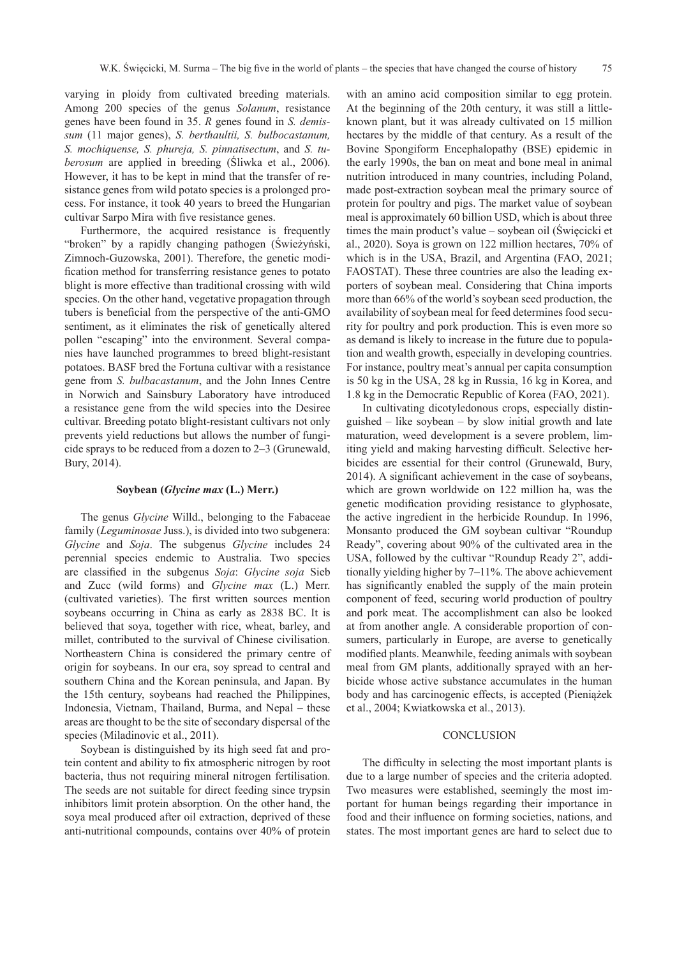varying in ploidy from cultivated breeding materials. Among 200 species of the genus *Solanum*, resistance genes have been found in 35. *R* genes found in *S. demissum* (11 major genes), *S. berthaultii, S. bulbocastanum, S. mochiquense, S. phureja, S. pinnatisectum*, and *S. tuberosum* are applied in breeding (Śliwka et al., 2006). However, it has to be kept in mind that the transfer of resistance genes from wild potato species is a prolonged process. For instance, it took 40 years to breed the Hungarian cultivar Sarpo Mira with five resistance genes.

Furthermore, the acquired resistance is frequently "broken" by a rapidly changing pathogen (Świeżyński, Zimnoch-Guzowska, 2001). Therefore, the genetic modification method for transferring resistance genes to potato blight is more effective than traditional crossing with wild species. On the other hand, vegetative propagation through tubers is beneficial from the perspective of the anti-GMO sentiment, as it eliminates the risk of genetically altered pollen "escaping" into the environment. Several companies have launched programmes to breed blight-resistant potatoes. BASF bred the Fortuna cultivar with a resistance gene from *S. bulbacastanum*, and the John Innes Centre in Norwich and Sainsbury Laboratory have introduced a resistance gene from the wild species into the Desiree cultivar. Breeding potato blight-resistant cultivars not only prevents yield reductions but allows the number of fungicide sprays to be reduced from a dozen to 2–3 (Grunewald, Bury, 2014).

#### **Soybean (***Glycine max* **(L.) Merr.)**

The genus *Glycine* Willd., belonging to the Fabaceae family (*Leguminosae* Juss.), is divided into two subgenera: *Glycine* and *Soja*. The subgenus *Glycine* includes 24 perennial species endemic to Australia. Two species are classified in the subgenus *Soja*: *Glycine soja* Sieb and Zucc (wild forms) and *Glycine max* (L.) Merr. (cultivated varieties). The first written sources mention soybeans occurring in China as early as 2838 BC. It is believed that soya, together with rice, wheat, barley, and millet, contributed to the survival of Chinese civilisation. Northeastern China is considered the primary centre of origin for soybeans. In our era, soy spread to central and southern China and the Korean peninsula, and Japan. By the 15th century, soybeans had reached the Philippines, Indonesia, Vietnam, Thailand, Burma, and Nepal – these areas are thought to be the site of secondary dispersal of the species (Miladinovic et al., 2011).

Soybean is distinguished by its high seed fat and protein content and ability to fix atmospheric nitrogen by root bacteria, thus not requiring mineral nitrogen fertilisation. The seeds are not suitable for direct feeding since trypsin inhibitors limit protein absorption. On the other hand, the soya meal produced after oil extraction, deprived of these anti-nutritional compounds, contains over 40% of protein

with an amino acid composition similar to egg protein. At the beginning of the 20th century, it was still a littleknown plant, but it was already cultivated on 15 million hectares by the middle of that century. As a result of the Bovine Spongiform Encephalopathy (BSE) epidemic in the early 1990s, the ban on meat and bone meal in animal nutrition introduced in many countries, including Poland, made post-extraction soybean meal the primary source of protein for poultry and pigs. The market value of soybean meal is approximately 60 billion USD, which is about three times the main product's value – soybean oil (Święcicki et al., 2020). Soya is grown on 122 million hectares, 70% of which is in the USA, Brazil, and Argentina (FAO, 2021; FAOSTAT). These three countries are also the leading exporters of soybean meal. Considering that China imports more than 66% of the world's soybean seed production, the availability of soybean meal for feed determines food security for poultry and pork production. This is even more so as demand is likely to increase in the future due to population and wealth growth, especially in developing countries. For instance, poultry meat's annual per capita consumption is 50 kg in the USA, 28 kg in Russia, 16 kg in Korea, and 1.8 kg in the Democratic Republic of Korea (FAO, 2021).

In cultivating dicotyledonous crops, especially distinguished – like soybean – by slow initial growth and late maturation, weed development is a severe problem, limiting yield and making harvesting difficult. Selective herbicides are essential for their control (Grunewald, Bury, 2014). A significant achievement in the case of soybeans, which are grown worldwide on 122 million ha, was the genetic modification providing resistance to glyphosate, the active ingredient in the herbicide Roundup. In 1996, Monsanto produced the GM soybean cultivar "Roundup Ready", covering about 90% of the cultivated area in the USA, followed by the cultivar "Roundup Ready 2", additionally yielding higher by 7–11%. The above achievement has significantly enabled the supply of the main protein component of feed, securing world production of poultry and pork meat. The accomplishment can also be looked at from another angle. A considerable proportion of consumers, particularly in Europe, are averse to genetically modified plants. Meanwhile, feeding animals with soybean meal from GM plants, additionally sprayed with an herbicide whose active substance accumulates in the human body and has carcinogenic effects, is accepted (Pieniążek et al., 2004; Kwiatkowska et al., 2013).

#### **CONCLUSION**

The difficulty in selecting the most important plants is due to a large number of species and the criteria adopted. Two measures were established, seemingly the most important for human beings regarding their importance in food and their influence on forming societies, nations, and states. The most important genes are hard to select due to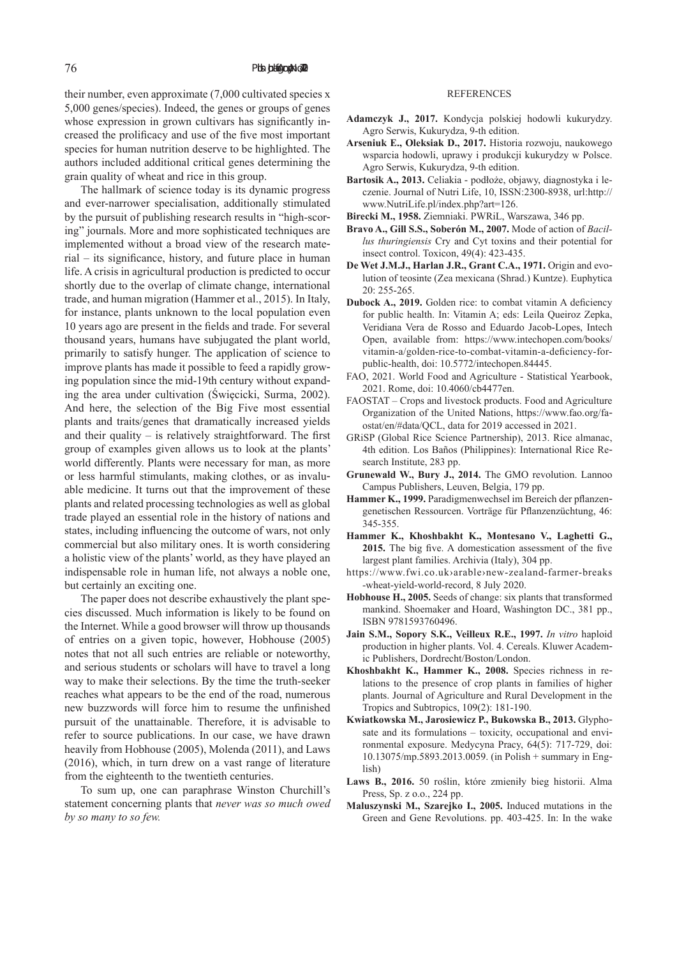their number, even approximate (7,000 cultivated species x 5,000 genes/species). Indeed, the genes or groups of genes whose expression in grown cultivars has significantly increased the prolificacy and use of the five most important species for human nutrition deserve to be highlighted. The authors included additional critical genes determining the grain quality of wheat and rice in this group.

The hallmark of science today is its dynamic progress and ever-narrower specialisation, additionally stimulated by the pursuit of publishing research results in "high-scoring" journals. More and more sophisticated techniques are implemented without a broad view of the research material – its significance, history, and future place in human life. A crisis in agricultural production is predicted to occur shortly due to the overlap of climate change, international trade, and human migration (Hammer et al., 2015). In Italy, for instance, plants unknown to the local population even 10 years ago are present in the fields and trade. For several thousand years, humans have subjugated the plant world, primarily to satisfy hunger. The application of science to improve plants has made it possible to feed a rapidly growing population since the mid-19th century without expanding the area under cultivation (Święcicki, Surma, 2002). And here, the selection of the Big Five most essential plants and traits/genes that dramatically increased yields and their quality  $-$  is relatively straightforward. The first group of examples given allows us to look at the plants' world differently. Plants were necessary for man, as more or less harmful stimulants, making clothes, or as invaluable medicine. It turns out that the improvement of these plants and related processing technologies as well as global trade played an essential role in the history of nations and states, including influencing the outcome of wars, not only commercial but also military ones. It is worth considering a holistic view of the plants' world, as they have played an indispensable role in human life, not always a noble one, but certainly an exciting one.

The paper does not describe exhaustively the plant species discussed. Much information is likely to be found on the Internet. While a good browser will throw up thousands of entries on a given topic, however, Hobhouse (2005) notes that not all such entries are reliable or noteworthy, and serious students or scholars will have to travel a long way to make their selections. By the time the truth-seeker reaches what appears to be the end of the road, numerous new buzzwords will force him to resume the unfinished pursuit of the unattainable. Therefore, it is advisable to refer to source publications. In our case, we have drawn heavily from Hobhouse (2005), Molenda (2011), and Laws (2016), which, in turn drew on a vast range of literature from the eighteenth to the twentieth centuries.

To sum up, one can paraphrase Winston Churchill's statement concerning plants that *never was so much owed by so many to so few.*

#### REFERENCES

- **Adamczyk J., 2017.** Kondycja polskiej hodowli kukurydzy. Agro Serwis, Kukurydza, 9-th edition.
- **Arseniuk E., Oleksiak D., 2017.** Historia rozwoju, naukowego wsparcia hodowli, uprawy i produkcji kukurydzy w Polsce. Agro Serwis, Kukurydza, 9-th edition.
- **Bartosik A., 2013.** Celiakia podłoże, objawy, diagnostyka i leczenie. Journal of Nutri Life, 10, ISSN:2300-8938, url:http:// www.NutriLife.pl/index.php?art=126.
- **Birecki M., 1958.** Ziemniaki. PWRiL, Warszawa, 346 pp.
- **Bravo A., Gill S.S., Soberón M., 2007.** Mode of action of *Bacillus thuringiensis* Cry and Cyt toxins and their potential for insect control. Toxicon, 49(4): 423-435.
- **De Wet J.M.J., Harlan J.R., Grant C.A., 1971.** Origin and evolution of teosinte (Zea mexicana (Shrad.) Kuntze). Euphytica 20: 255-265.
- **Dubock A., 2019.** Golden rice: to combat vitamin A deficiency for public health. In: Vitamin A; eds: Leila Queiroz Zepka, Veridiana Vera de Rosso and Eduardo Jacob-Lopes, Intech Open, available from: https://www.intechopen.com/books/ vitamin-a/golden-rice-to-combat-vitamin-a-deficiency-forpublic-health, doi: 10.5772/intechopen.84445.
- FAO, 2021. World Food and Agriculture Statistical Yearbook, 2021. Rome, doi: 10.4060/cb4477en.
- FAOSTAT Crops and livestock products. Food and Agriculture Organization of the United Nations, https://www.fao.org/faostat/en/#data/QCL, data for 2019 accessed in 2021.
- GRiSP (Global Rice Science Partnership), 2013. Rice almanac, 4th edition. Los Baños (Philippines): International Rice Research Institute, 283 pp.
- **Grunewald W., Bury J., 2014.** The GMO revolution. Lannoo Campus Publishers, Leuven, Belgia, 179 pp.
- **Hammer K., 1999.** Paradigmenwechsel im Bereich der pflanzengenetischen Ressourcen. Vorträge für Pflanzenzüchtung, 46: 345-355.
- **Hammer K., Khoshbakht K., Montesano V., Laghetti G., 2015.** The big five. A domestication assessment of the five largest plant families. Archivia (Italy), 304 pp.
- https://www.fwi.co.uk›arable›new-zealand-farmer-breaks -wheat-yield-world-record, 8 July 2020.
- **Hobhouse H., 2005.** Seeds of change: six plants that transformed mankind. Shoemaker and Hoard, Washington DC., 381 pp., ISBN 9781593760496.
- **Jain S.M., Sopory S.K., Veilleux R.E., 1997.** *In vitro* haploid production in higher plants. Vol. 4. Cereals. Kluwer Academic Publishers, Dordrecht/Boston/London.
- **Khoshbakht K., Hammer K., 2008.** Species richness in relations to the presence of crop plants in families of higher plants. Journal of Agriculture and Rural Development in the Tropics and Subtropics, 109(2): 181-190.
- **Kwiatkowska M., Jarosiewicz P., Bukowska B., 2013.** Glyphosate and its formulations – toxicity, occupational and environmental exposure. Medycyna Pracy, 64(5): 717-729, doi: 10.13075/mp.5893.2013.0059. (in Polish + summary in English)
- **Laws B., 2016.** 50 roślin, które zmieniły bieg historii. Alma Press, Sp. z o.o., 224 pp.
- **Maluszynski M., Szarejko I., 2005.** Induced mutations in the Green and Gene Revolutions. pp. 403-425. In: In the wake